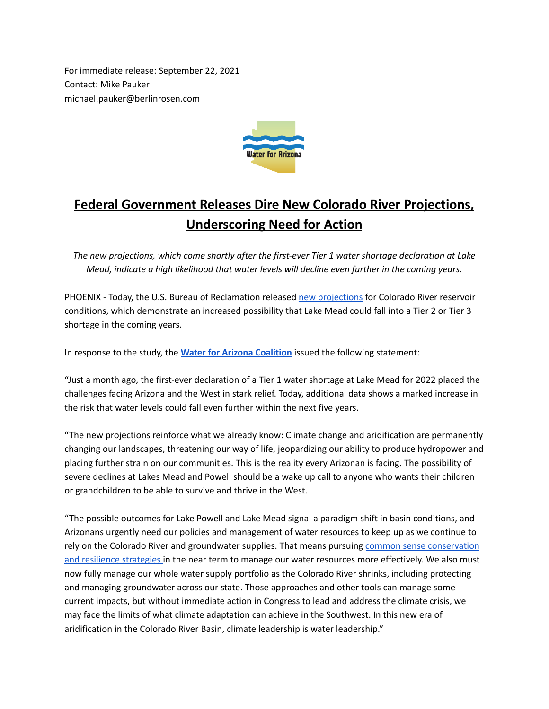For immediate release: September 22, 2021 Contact: Mike Pauker michael.pauker@berlinrosen.com



## **Federal Government Releases Dire New Colorado River Projections, Underscoring Need for Action**

*The new projections, which come shortly after the first-ever Tier 1 water shortage declaration at Lake Mead, indicate a high likelihood that water levels will decline even further in the coming years.*

PHOENIX - Today, the U.S. Bureau of Reclamation released new [projections](https://www.usbr.gov/lc/region/g4000/riverops/crmms-2year-projections.html) for Colorado River reservoir conditions, which demonstrate an increased possibility that Lake Mead could fall into a Tier 2 or Tier 3 shortage in the coming years.

In response to the study, the **Water for Arizona [Coalition](https://www.waterforarizona.com/)** issued the following statement:

"Just a month ago, the first-ever declaration of a Tier 1 water shortage at Lake Mead for 2022 placed the challenges facing Arizona and the West in stark relief. Today, additional data shows a marked increase in the risk that water levels could fall even further within the next five years.

"The new projections reinforce what we already know: Climate change and aridification are permanently changing our landscapes, threatening our way of life, jeopardizing our ability to produce hydropower and placing further strain on our communities. This is the reality every Arizonan is facing. The possibility of severe declines at Lakes Mead and Powell should be a wake up call to anyone who wants their children or grandchildren to be able to survive and thrive in the West.

"The possible outcomes for Lake Powell and Lake Mead signal a paradigm shift in basin conditions, and Arizonans urgently need our policies and management of water resources to keep up as we continue to rely on the Colorado River and groundwater supplies. That means pursuing common sense [conservation](https://www.tenstrategies.net/) and resilience [strategies](https://www.tenstrategies.net/) in the near term to manage our water resources more effectively. We also must now fully manage our whole water supply portfolio as the Colorado River shrinks, including protecting and managing groundwater across our state. Those approaches and other tools can manage some current impacts, but without immediate action in Congress to lead and address the climate crisis, we may face the limits of what climate adaptation can achieve in the Southwest. In this new era of aridification in the Colorado River Basin, climate leadership is water leadership."